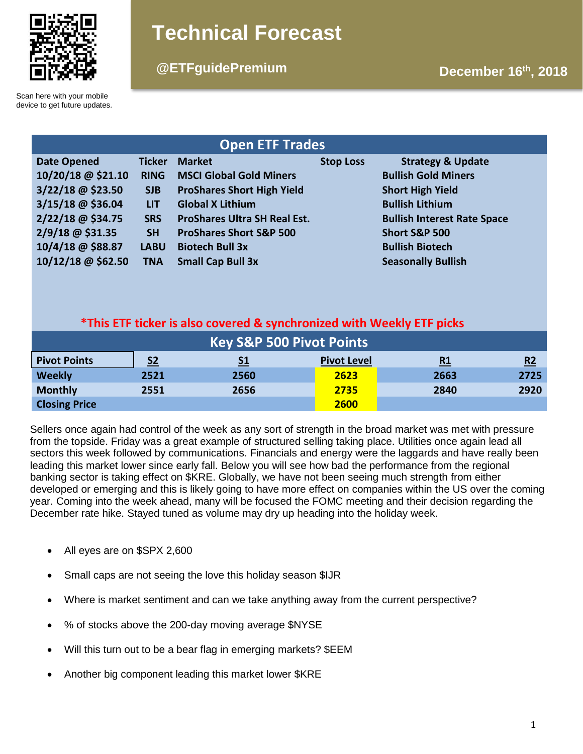

# **Technical Forecast**

# **December 16th @ETFguidePremium , 2018**

Scan here with your mobile device to get future updates.

| <b>Open ETF Trades</b> |               |                                     |                  |                                    |  |  |  |  |
|------------------------|---------------|-------------------------------------|------------------|------------------------------------|--|--|--|--|
| <b>Date Opened</b>     | <b>Ticker</b> | <b>Market</b>                       | <b>Stop Loss</b> | <b>Strategy &amp; Update</b>       |  |  |  |  |
| 10/20/18 @ \$21.10     | <b>RING</b>   | <b>MSCI Global Gold Miners</b>      |                  | <b>Bullish Gold Miners</b>         |  |  |  |  |
| 3/22/18 @ \$23.50      | <b>SJB</b>    | <b>ProShares Short High Yield</b>   |                  | <b>Short High Yield</b>            |  |  |  |  |
| $3/15/18$ @ \$36.04    | <b>LIT</b>    | <b>Global X Lithium</b>             |                  | <b>Bullish Lithium</b>             |  |  |  |  |
| 2/22/18 @ \$34.75      | <b>SRS</b>    | <b>ProShares Ultra SH Real Est.</b> |                  | <b>Bullish Interest Rate Space</b> |  |  |  |  |
| 2/9/18 @ \$31.35       | <b>SH</b>     | <b>ProShares Short S&amp;P 500</b>  |                  | <b>Short S&amp;P 500</b>           |  |  |  |  |
| 10/4/18 @ \$88.87      | <b>LABU</b>   | <b>Biotech Bull 3x</b>              |                  | <b>Bullish Biotech</b>             |  |  |  |  |
| 10/12/18 @ \$62.50     | <b>TNA</b>    | <b>Small Cap Bull 3x</b>            |                  | <b>Seasonally Bullish</b>          |  |  |  |  |

# **\*This ETF ticker is also covered & synchronized with Weekly ETF picks**

| <b>Key S&amp;P 500 Pivot Points</b> |                |           |                    |           |      |  |  |  |
|-------------------------------------|----------------|-----------|--------------------|-----------|------|--|--|--|
| <b>Pivot Points</b>                 | S <sub>2</sub> | <u>S1</u> | <b>Pivot Level</b> | <u>R1</u> | R2   |  |  |  |
| <b>Weekly</b>                       | 2521           | 2560      | 2623               | 2663      | 2725 |  |  |  |
| <b>Monthly</b>                      | 2551           | 2656      | 2735               | 2840      | 2920 |  |  |  |
| <b>Closing Price</b>                |                |           | 2600               |           |      |  |  |  |

Sellers once again had control of the week as any sort of strength in the broad market was met with pressure from the topside. Friday was a great example of structured selling taking place. Utilities once again lead all sectors this week followed by communications. Financials and energy were the laggards and have really been leading this market lower since early fall. Below you will see how bad the performance from the regional banking sector is taking effect on \$KRE. Globally, we have not been seeing much strength from either developed or emerging and this is likely going to have more effect on companies within the US over the coming year. Coming into the week ahead, many will be focused the FOMC meeting and their decision regarding the December rate hike. Stayed tuned as volume may dry up heading into the holiday week.

- All eyes are on \$SPX 2,600
- Small caps are not seeing the love this holiday season \$IJR
- Where is market sentiment and can we take anything away from the current perspective?
- % of stocks above the 200-day moving average \$NYSE
- Will this turn out to be a bear flag in emerging markets? \$EEM
- Another big component leading this market lower \$KRE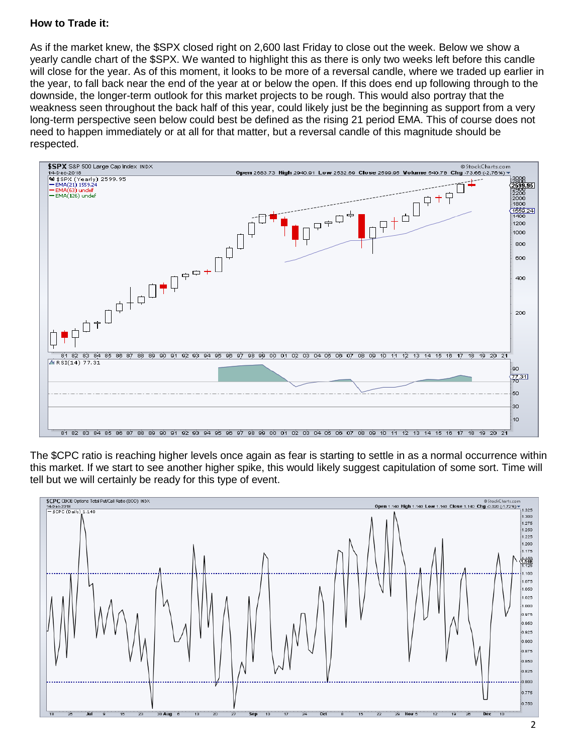### **How to Trade it:**

As if the market knew, the \$SPX closed right on 2,600 last Friday to close out the week. Below we show a yearly candle chart of the \$SPX. We wanted to highlight this as there is only two weeks left before this candle will close for the year. As of this moment, it looks to be more of a reversal candle, where we traded up earlier in the year, to fall back near the end of the year at or below the open. If this does end up following through to the downside, the longer-term outlook for this market projects to be rough. This would also portray that the weakness seen throughout the back half of this year, could likely just be the beginning as support from a very long-term perspective seen below could best be defined as the rising 21 period EMA. This of course does not need to happen immediately or at all for that matter, but a reversal candle of this magnitude should be respected.



The \$CPC ratio is reaching higher levels once again as fear is starting to settle in as a normal occurrence within this market. If we start to see another higher spike, this would likely suggest capitulation of some sort. Time will tell but we will certainly be ready for this type of event.

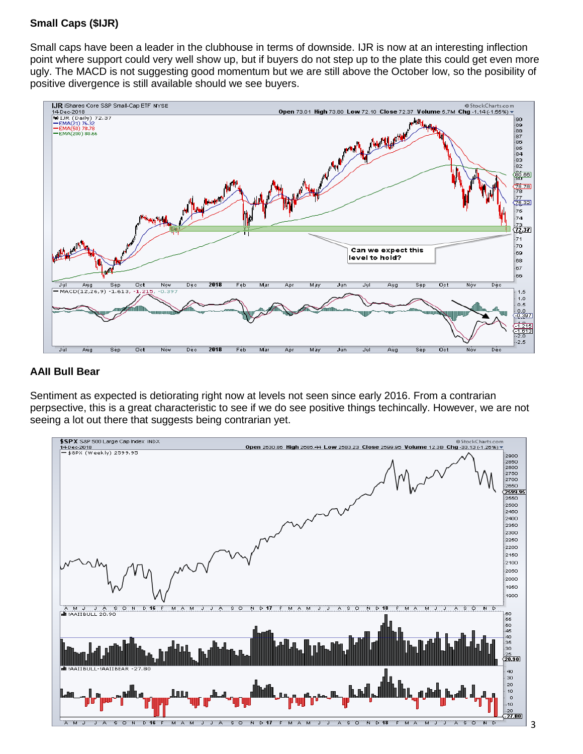# **Small Caps (\$IJR)**

Small caps have been a leader in the clubhouse in terms of downside. IJR is now at an interesting inflection point where support could very well show up, but if buyers do not step up to the plate this could get even more ugly. The MACD is not suggesting good momentum but we are still above the October low, so the posibility of positive divergence is still available should we see buyers.



#### **AAII Bull Bear**

Sentiment as expected is detiorating right now at levels not seen since early 2016. From a contrarian perpsective, this is a great characteristic to see if we do see positive things techincally. However, we are not seeing a lot out there that suggests being contrarian yet.

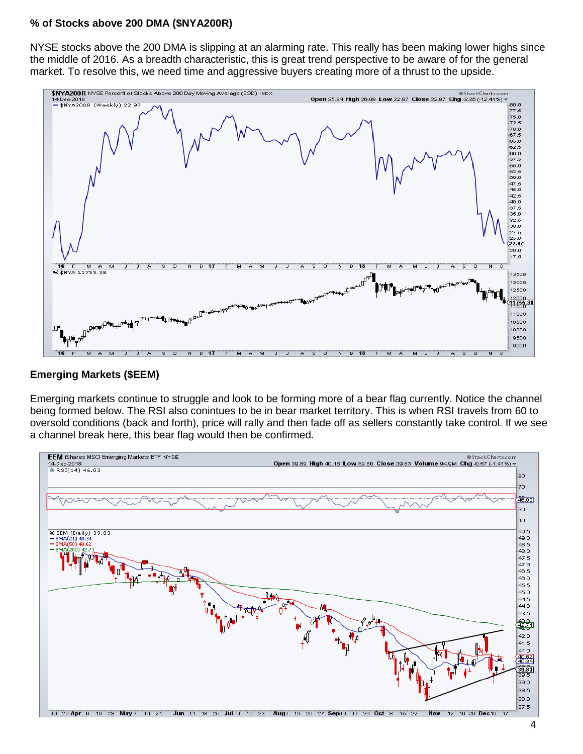#### **% of Stocks above 200 DMA (\$NYA200R)**

NYSE stocks above the 200 DMA is slipping at an alarming rate. This really has been making lower highs since the middle of 2016. As a breadth characteristic, this is great trend perspective to be aware of for the general market. To resolve this, we need time and aggressive buyers creating more of a thrust to the upside.



#### **Emerging Markets (\$EEM)**

Emerging markets continue to struggle and look to be forming more of a bear flag currently. Notice the channel being formed below. The RSI also conintues to be in bear market territory. This is when RSI travels from 60 to oversold conditions (back and forth), price will rally and then fade off as sellers constantly take control. If we see a channel break here, this bear flag would then be confirmed.